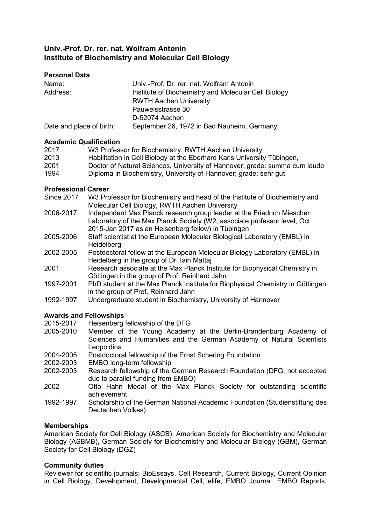# **Univ.-Prof. Dr. rer. nat. Wolfram Antonin Institute of Biochemistry and Molecular Cell Biology**

| <b>Personal Data</b> |                                           |
|----------------------|-------------------------------------------|
| Name:                | Univ.-Prof. Dr. rer. nat. Wolfram Antonin |
| Address:             | Institute of Biochemistry and Molecular C |
|                      | <b>RWTH Aachen University</b>             |
|                      | Pauwelsstrasse 30                         |

D-52074 Aachen

Date and place of birth: September 26, 1972 in Bad Nauheim, Germany

### **Academic Qualification**

| 2017 | W3 Professor for Biochemistry, RWTH Aachen University                      |
|------|----------------------------------------------------------------------------|
| 2013 | Habilitation in Cell Biology at the Eberhard Karls University Tübingen,    |
| 2001 | Doctor of Natural Sciences, University of Hannover; grade: summa cum laude |
| 1994 | Diploma in Biochemistry, University of Hannover; grade: sehr gut           |

and Molecular Cell Biology

### **Professional Career**

| Since 2017 | W3 Professor for Biochemistry and head of the Institute of Biochemistry and |
|------------|-----------------------------------------------------------------------------|
|            | Molecular Cell Biology, RWTH Aachen University                              |
| 2006-2017  | Independent Max Planck research group leader at the Friedrich Miescher      |
|            | Laboratory of the Max Planck Society (W2, associate professor level, Oct    |
|            | 2015-Jan 2017 as an Heisenberg fellow) in Tübingen                          |

- 2005-2006 Staff scientist at the European Molecular Biological Laboratory (EMBL) in Heidelberg
- 2002-2005 Postdoctoral fellow at the European Molecular Biology Laboratory (EMBL) in Heidelberg in the group of Dr. Iain Mattaj
- 2001 Research associate at the Max Planck Institute for Biophysical Chemistry in Göttingen in the group of Prof. Reinhard Jahn
- 1997-2001 PhD student at the Max Planck Institute for Biophysical Chemistry in Göttingen in the group of Prof. Reinhard Jahn
- 1992-1997 Undergraduate student in Biochemistry, University of Hannover

# **Awards and Fellowships**

- 2015-2017 Heisenberg fellowship of the DFG
- 2005-2010 Member of the Young Academy at the Berlin-Brandenburg Academy of Sciences and Humanities and the German Academy of Natural Scientists Leopoldina
- 2004-2005 Postdoctoral fellowship of the Ernst Schering Foundation<br>2002-2003 FMBO long-term fellowship
- EMBO long-term fellowship
- 2002-2003 Research fellowship of the German Research Foundation (DFG, not accepted due to parallel funding from EMBO)
- 2002 Otto Hahn Medal of the Max Planck Society for outstanding scientific achievement
- 1992-1997 Scholarship of the German National Academic Foundation (Studienstiftung des Deutschen Volkes)

# **Memberships**

American Society for Cell Biology (ASCB), American Society for Biochemistry and Molecular Biology (ASBMB), German Society for Biochemistry and Molecular Biology (GBM), German Society for Cell Biology (DGZ)

# **Community duties**

Reviewer for scientific journals: BioEssays, Cell Research, Current Biology, Current Opinion in Cell Biology, Development, Developmental Cell, elife, EMBO Journal, EMBO Reports,